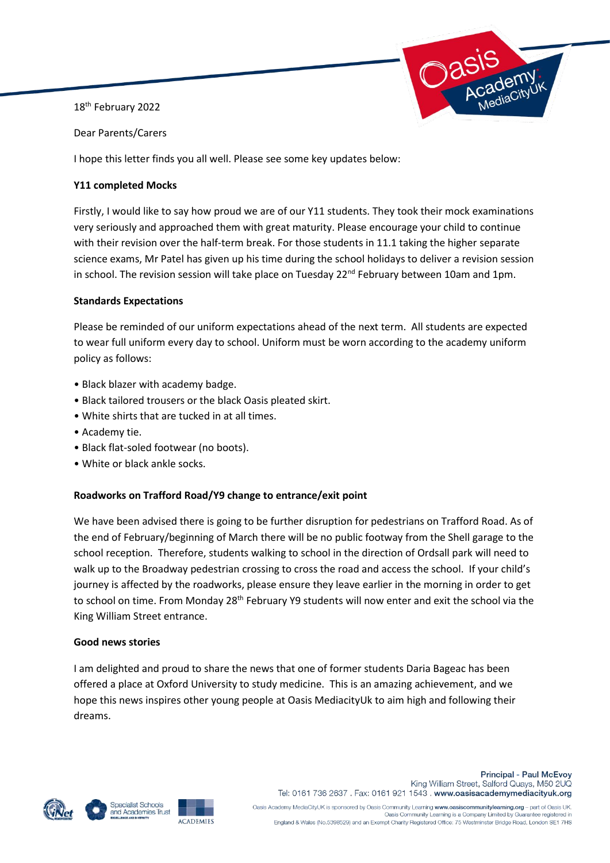18<sup>th</sup> February 2022



Dear Parents/Carers

I hope this letter finds you all well. Please see some key updates below:

# **Y11 completed Mocks**

Firstly, I would like to say how proud we are of our Y11 students. They took their mock examinations very seriously and approached them with great maturity. Please encourage your child to continue with their revision over the half-term break. For those students in 11.1 taking the higher separate science exams, Mr Patel has given up his time during the school holidays to deliver a revision session in school. The revision session will take place on Tuesday 22<sup>nd</sup> February between 10am and 1pm.

# **Standards Expectations**

Please be reminded of our uniform expectations ahead of the next term. All students are expected to wear full uniform every day to school. Uniform must be worn according to the academy uniform policy as follows:

- Black blazer with academy badge.
- Black tailored trousers or the black Oasis pleated skirt.
- White shirts that are tucked in at all times.
- Academy tie.
- Black flat-soled footwear (no boots).
- White or black ankle socks.

## **Roadworks on Trafford Road/Y9 change to entrance/exit point**

We have been advised there is going to be further disruption for pedestrians on Trafford Road. As of the end of February/beginning of March there will be no public footway from the Shell garage to the school reception. Therefore, students walking to school in the direction of Ordsall park will need to walk up to the Broadway pedestrian crossing to cross the road and access the school. If your child's journey is affected by the roadworks, please ensure they leave earlier in the morning in order to get to school on time. From Monday 28<sup>th</sup> February Y9 students will now enter and exit the school via the King William Street entrance.

## **Good news stories**

I am delighted and proud to share the news that one of former students Daria Bageac has been offered a place at Oxford University to study medicine. This is an amazing achievement, and we hope this news inspires other young people at Oasis MediacityUk to aim high and following their dreams.







**Principal - Paul McEvoy** King William Street, Salford Quays, M50 2UQ Tel: 0161 736 2637 . Fax: 0161 921 1543 . www.oasisacademymediacityuk.org

Oasis Academy MediaCityUK is sponsored by Oasis Community Learning www.oasiscommunitylearning.org - part of Oasis UK.<br>Oasis Community Learning is a Company Limited by Guarantee registered in England & Wales (No.5398529) and an Exempt Charity Registered Office: 75 Westminster Bridge Road, London SE1 7HS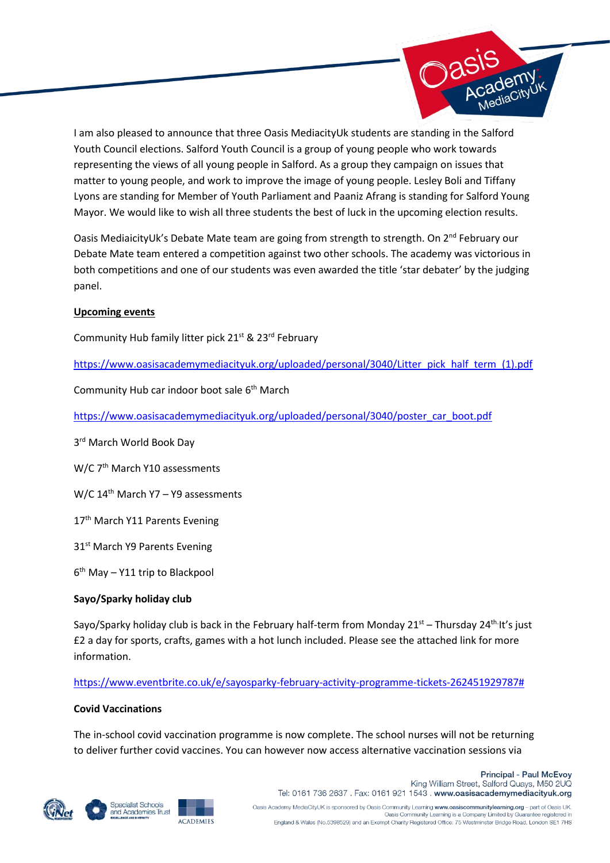

I am also pleased to announce that three Oasis MediacityUk students are standing in the Salford Youth Council elections. Salford Youth Council is a group of young people who work towards representing the views of all young people in Salford. As a group they campaign on issues that matter to young people, and work to improve the image of young people. Lesley Boli and Tiffany Lyons are standing for Member of Youth Parliament and Paaniz Afrang is standing for Salford Young Mayor. We would like to wish all three students the best of luck in the upcoming election results.

Oasis MediaicityUk's Debate Mate team are going from strength to strength. On 2<sup>nd</sup> February our Debate Mate team entered a competition against two other schools. The academy was victorious in both competitions and one of our students was even awarded the title 'star debater' by the judging panel.

#### **Upcoming events**

Community Hub family litter pick 21<sup>st</sup> & 23<sup>rd</sup> February

[https://www.oasisacademymediacityuk.org/uploaded/personal/3040/Litter\\_pick\\_half\\_term\\_\(1\).pdf](https://www.oasisacademymediacityuk.org/uploaded/personal/3040/Litter_pick_half_term_(1).pdf)

Community Hub car indoor boot sale 6th March

[https://www.oasisacademymediacityuk.org/uploaded/personal/3040/poster\\_car\\_boot.pdf](https://www.oasisacademymediacityuk.org/uploaded/personal/3040/poster_car_boot.pdf)

3rd March World Book Day

W/C 7<sup>th</sup> March Y10 assessments

W/C 14<sup>th</sup> March Y7 - Y9 assessments

17<sup>th</sup> March Y11 Parents Evening

31<sup>st</sup> March Y9 Parents Evening

6 th May – Y11 trip to Blackpool

## **Sayo/Sparky holiday club**

Sayo/Sparky holiday club is back in the February half-term from Monday 21<sup>st</sup> – Thursday 24<sup>th.</sup>It's just £2 a day for sports, crafts, games with a hot lunch included. Please see the attached link for more information.

## [https://www.eventbrite.co.uk/e/sayosparky-february-activity-programme-tickets-262451929787#](https://www.eventbrite.co.uk/e/sayosparky-february-activity-programme-tickets-262451929787)

#### **Covid Vaccinations**

The in-school covid vaccination programme is now complete. The school nurses will not be returning to deliver further covid vaccines. You can however now access alternative vaccination sessions via





**ACADEMIES** 



Oasis Academy MediaCityUK is sponsored by Oasis Community Learning www.oasiscommunitylearning.org - part of Oasis UK.<br>Oasis Community Learning is a Company Limited by Guarantee registered in England & Wales (No.5398529) and an Exempt Charity Registered Office: 75 Westminster Bridge Road, London SE1 7HS

**Principal - Paul McEvoy**